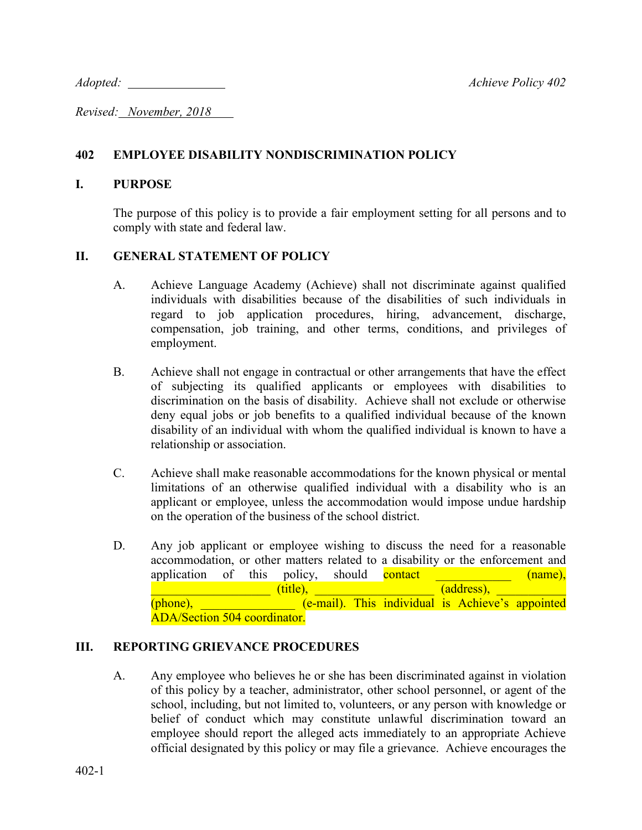*Adopted: Achieve Policy 402*

*Revised: November, 2018* 

# **402 EMPLOYEE DISABILITY NONDISCRIMINATION POLICY**

## **I. PURPOSE**

The purpose of this policy is to provide a fair employment setting for all persons and to comply with state and federal law.

# **II. GENERAL STATEMENT OF POLICY**

- A. Achieve Language Academy (Achieve) shall not discriminate against qualified individuals with disabilities because of the disabilities of such individuals in regard to job application procedures, hiring, advancement, discharge, compensation, job training, and other terms, conditions, and privileges of employment.
- B. Achieve shall not engage in contractual or other arrangements that have the effect of subjecting its qualified applicants or employees with disabilities to discrimination on the basis of disability. Achieve shall not exclude or otherwise deny equal jobs or job benefits to a qualified individual because of the known disability of an individual with whom the qualified individual is known to have a relationship or association.
- C. Achieve shall make reasonable accommodations for the known physical or mental limitations of an otherwise qualified individual with a disability who is an applicant or employee, unless the accommodation would impose undue hardship on the operation of the business of the school district.
- D. Any job applicant or employee wishing to discuss the need for a reasonable accommodation, or other matters related to a disability or the enforcement and application of this policy, should contact  $(\text{name}),$  $(title),$   $(address),$  $(phone)$ ,  $( e-mail)$ . This individual is Achieve's appointed ADA/Section 504 coordinator.

# **III. REPORTING GRIEVANCE PROCEDURES**

A. Any employee who believes he or she has been discriminated against in violation of this policy by a teacher, administrator, other school personnel, or agent of the school, including, but not limited to, volunteers, or any person with knowledge or belief of conduct which may constitute unlawful discrimination toward an employee should report the alleged acts immediately to an appropriate Achieve official designated by this policy or may file a grievance. Achieve encourages the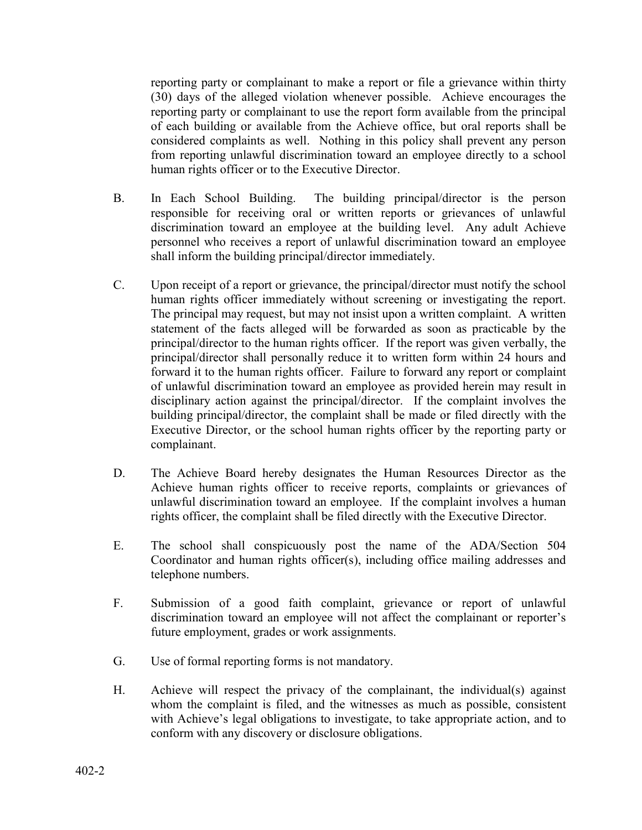reporting party or complainant to make a report or file a grievance within thirty (30) days of the alleged violation whenever possible. Achieve encourages the reporting party or complainant to use the report form available from the principal of each building or available from the Achieve office, but oral reports shall be considered complaints as well. Nothing in this policy shall prevent any person from reporting unlawful discrimination toward an employee directly to a school human rights officer or to the Executive Director.

- B. In Each School Building. The building principal/director is the person responsible for receiving oral or written reports or grievances of unlawful discrimination toward an employee at the building level. Any adult Achieve personnel who receives a report of unlawful discrimination toward an employee shall inform the building principal/director immediately.
- C. Upon receipt of a report or grievance, the principal/director must notify the school human rights officer immediately without screening or investigating the report. The principal may request, but may not insist upon a written complaint. A written statement of the facts alleged will be forwarded as soon as practicable by the principal/director to the human rights officer. If the report was given verbally, the principal/director shall personally reduce it to written form within 24 hours and forward it to the human rights officer. Failure to forward any report or complaint of unlawful discrimination toward an employee as provided herein may result in disciplinary action against the principal/director. If the complaint involves the building principal/director, the complaint shall be made or filed directly with the Executive Director, or the school human rights officer by the reporting party or complainant.
- D. The Achieve Board hereby designates the Human Resources Director as the Achieve human rights officer to receive reports, complaints or grievances of unlawful discrimination toward an employee. If the complaint involves a human rights officer, the complaint shall be filed directly with the Executive Director.
- E. The school shall conspicuously post the name of the ADA/Section 504 Coordinator and human rights officer(s), including office mailing addresses and telephone numbers.
- F. Submission of a good faith complaint, grievance or report of unlawful discrimination toward an employee will not affect the complainant or reporter's future employment, grades or work assignments.
- G. Use of formal reporting forms is not mandatory.
- H. Achieve will respect the privacy of the complainant, the individual(s) against whom the complaint is filed, and the witnesses as much as possible, consistent with Achieve's legal obligations to investigate, to take appropriate action, and to conform with any discovery or disclosure obligations.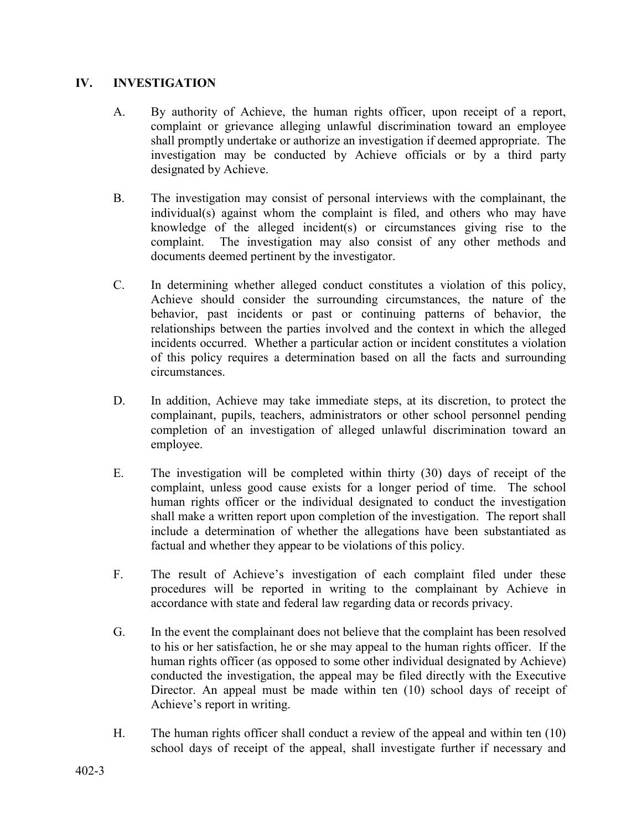## **IV. INVESTIGATION**

- A. By authority of Achieve, the human rights officer, upon receipt of a report, complaint or grievance alleging unlawful discrimination toward an employee shall promptly undertake or authorize an investigation if deemed appropriate. The investigation may be conducted by Achieve officials or by a third party designated by Achieve.
- B. The investigation may consist of personal interviews with the complainant, the individual(s) against whom the complaint is filed, and others who may have knowledge of the alleged incident(s) or circumstances giving rise to the complaint. The investigation may also consist of any other methods and documents deemed pertinent by the investigator.
- C. In determining whether alleged conduct constitutes a violation of this policy, Achieve should consider the surrounding circumstances, the nature of the behavior, past incidents or past or continuing patterns of behavior, the relationships between the parties involved and the context in which the alleged incidents occurred. Whether a particular action or incident constitutes a violation of this policy requires a determination based on all the facts and surrounding circumstances.
- D. In addition, Achieve may take immediate steps, at its discretion, to protect the complainant, pupils, teachers, administrators or other school personnel pending completion of an investigation of alleged unlawful discrimination toward an employee.
- E. The investigation will be completed within thirty (30) days of receipt of the complaint, unless good cause exists for a longer period of time. The school human rights officer or the individual designated to conduct the investigation shall make a written report upon completion of the investigation. The report shall include a determination of whether the allegations have been substantiated as factual and whether they appear to be violations of this policy.
- F. The result of Achieve's investigation of each complaint filed under these procedures will be reported in writing to the complainant by Achieve in accordance with state and federal law regarding data or records privacy.
- G. In the event the complainant does not believe that the complaint has been resolved to his or her satisfaction, he or she may appeal to the human rights officer. If the human rights officer (as opposed to some other individual designated by Achieve) conducted the investigation, the appeal may be filed directly with the Executive Director. An appeal must be made within ten (10) school days of receipt of Achieve's report in writing.
- H. The human rights officer shall conduct a review of the appeal and within ten (10) school days of receipt of the appeal, shall investigate further if necessary and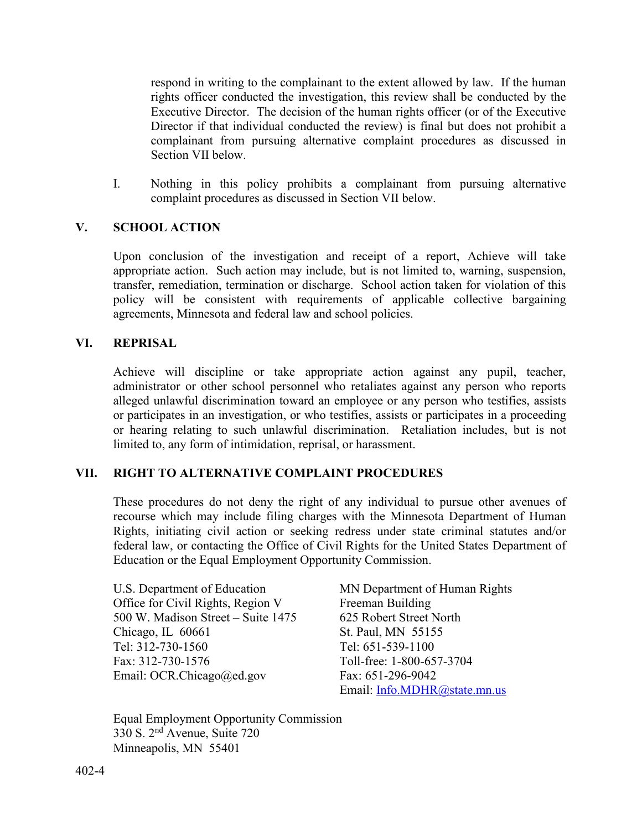respond in writing to the complainant to the extent allowed by law. If the human rights officer conducted the investigation, this review shall be conducted by the Executive Director. The decision of the human rights officer (or of the Executive Director if that individual conducted the review) is final but does not prohibit a complainant from pursuing alternative complaint procedures as discussed in Section VII below.

I. Nothing in this policy prohibits a complainant from pursuing alternative complaint procedures as discussed in Section VII below.

# **V. SCHOOL ACTION**

Upon conclusion of the investigation and receipt of a report, Achieve will take appropriate action. Such action may include, but is not limited to, warning, suspension, transfer, remediation, termination or discharge. School action taken for violation of this policy will be consistent with requirements of applicable collective bargaining agreements, Minnesota and federal law and school policies.

## **VI. REPRISAL**

Achieve will discipline or take appropriate action against any pupil, teacher, administrator or other school personnel who retaliates against any person who reports alleged unlawful discrimination toward an employee or any person who testifies, assists or participates in an investigation, or who testifies, assists or participates in a proceeding or hearing relating to such unlawful discrimination. Retaliation includes, but is not limited to, any form of intimidation, reprisal, or harassment.

#### **VII. RIGHT TO ALTERNATIVE COMPLAINT PROCEDURES**

These procedures do not deny the right of any individual to pursue other avenues of recourse which may include filing charges with the Minnesota Department of Human Rights, initiating civil action or seeking redress under state criminal statutes and/or federal law, or contacting the Office of Civil Rights for the United States Department of Education or the Equal Employment Opportunity Commission.

U.S. Department of Education MN Department of Human Rights Office for Civil Rights, Region V Freeman Building 500 W. Madison Street – Suite 1475 625 Robert Street North Chicago, IL 60661 St. Paul, MN 55155 Tel: 312-730-1560 Tel: 651-539-1100 Fax: 312-730-1576 Toll-free: 1-800-657-3704 Email: OCR.Chicago@ed.gov Fax: 651-296-9042

Email: [Info.MDHR@state.mn.us](mailto:Info.MDHR@state.mn.us)

Equal Employment Opportunity Commission 330 S. 2nd Avenue, Suite 720 Minneapolis, MN 55401